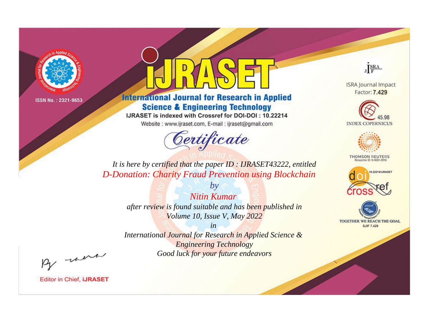

# **International Journal for Research in Applied Science & Engineering Technology**

IJRASET is indexed with Crossref for DOI-DOI: 10.22214

Website: www.ijraset.com, E-mail: ijraset@gmail.com



JERA

**ISRA Journal Impact** Factor: 7.429





**THOMSON REUTERS** 



TOGETHER WE REACH THE GOAL **SJIF 7.429** 

*It is here by certified that the paper ID : IJRASET43222, entitled D-Donation: Charity Fraud Prevention using Blockchain*

> *Nitin Kumar after review is found suitable and has been published in Volume 10, Issue V, May 2022*

*by*

*in* 

*International Journal for Research in Applied Science & Engineering Technology Good luck for your future endeavors*

By morn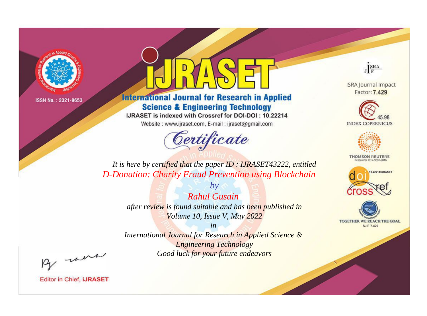

# **International Journal for Research in Applied Science & Engineering Technology**

IJRASET is indexed with Crossref for DOI-DOI: 10.22214

Website: www.ijraset.com, E-mail: ijraset@gmail.com



JERA

**ISRA Journal Impact** Factor: 7.429





**THOMSON REUTERS** 



TOGETHER WE REACH THE GOAL **SJIF 7.429** 

*It is here by certified that the paper ID : IJRASET43222, entitled D-Donation: Charity Fraud Prevention using Blockchain*

> *by Rahul Gusain after review is found suitable and has been published in Volume 10, Issue V, May 2022*

> > *in*

*International Journal for Research in Applied Science & Engineering Technology Good luck for your future endeavors*

By morn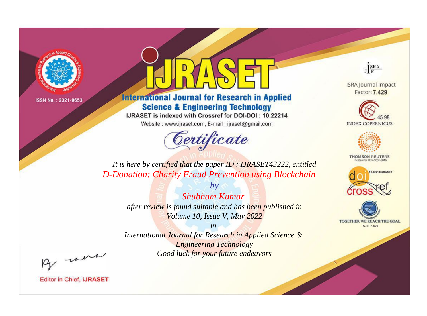

# **International Journal for Research in Applied Science & Engineering Technology**

IJRASET is indexed with Crossref for DOI-DOI: 10.22214

Website: www.ijraset.com, E-mail: ijraset@gmail.com



JERA

**ISRA Journal Impact** Factor: 7.429





**THOMSON REUTERS** 



TOGETHER WE REACH THE GOAL **SJIF 7.429** 

*It is here by certified that the paper ID : IJRASET43222, entitled D-Donation: Charity Fraud Prevention using Blockchain*

> *Shubham Kumar after review is found suitable and has been published in Volume 10, Issue V, May 2022*

*by*

*in* 

*International Journal for Research in Applied Science & Engineering Technology Good luck for your future endeavors*

By morn